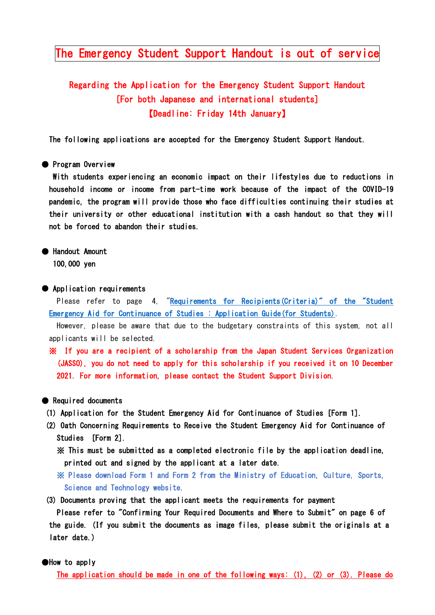## The Emergency Student Support Handout is out of service

# Regarding the Application for the Emergency Student Support Handout [For both Japanese and international students] 【Deadline: Friday 14th January】

The following applications are accepted for the Emergency Student Support Handout.

#### ● Program Overview

With students experiencing an economic impact on their lifestyles due to reductions in household income or income from part-time work because of the impact of the COVID-19 pandemic, the program will provide those who face difficulties continuing their studies at their university or other educational institution with a cash handout so that they will not be forced to abandon their studies.

# ● Handout Amount

100,000 yen

#### ● Application requirements

Please refer to page 4, "Requirements for Recipients (Criteria)" of the "Student [Emergency Aid for Continuance of Studies : Application Guide\(for Students\).](https://www.mext.go.jp/content/20211222-mxt_gakushi01_000019545_1.pdf)

However, please be aware that due to the budgetary constraints of this system, not all applicants will be selected.

※ If you are a recipient of a scholarship from the Japan Student Services Organization (JASSO), you do not need to apply for this scholarship if you received it on 10 December 2021. For more information, please contact the Student Support Division.

#### ● Required documents

- (1) Application for the Student Emergency Aid for Continuance of Studies [Form 1].
- (2) Oath Concerning Requirements to Receive the Student Emergency Aid for Continuance of Studies [Form 2].
	- ※ This must be submitted as a completed electronic file by the application deadline, printed out and signed by the applicant at a later date.
	- ※ Please download Form 1 and Form 2 from the Ministry of Education, Culture, Sports, Science and Technology website.
- (3) Documents proving that the applicant meets the requirements for payment

 Please refer to "Confirming Your Required Documents and Where to Submit" on page 6 of the guide. (If you submit the documents as image files, please submit the originals at a later date.)

#### ●How to apply

The application should be made in one of the following ways: (1), (2) or (3). Please do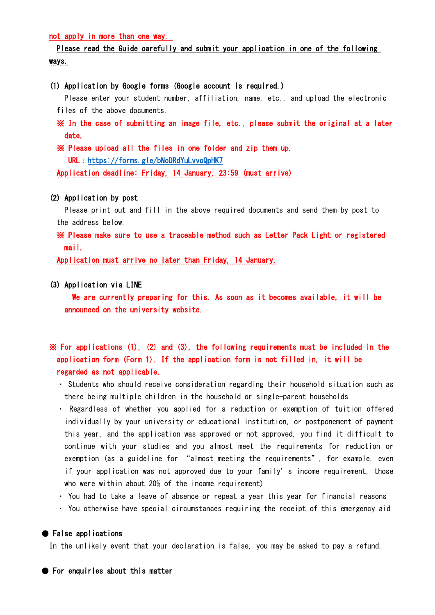not apply in more than one way.

### Please read the Guide carefully and submit your application in one of the following ways.

#### (1) Application by Google forms (Google account is required.)

Please enter your student number, affiliation, name, etc., and upload the electronic files of the above documents.

- ※ In the case of submitting an image file, etc., please submit the original at a later date.
- ※ Please upload all the files in one folder and zip them up. URL:<https://forms.gle/bNcDRdYuLvvoQpHK7>

Application deadline: Friday, 14 January, 23:59 (must arrive)

#### (2) Application by post

Please print out and fill in the above required documents and send them by post to the address below.

※ Please make sure to use a traceable method such as Letter Pack Light or registered mail.

Application must arrive no later than Friday, 14 January.

#### (3) Application via LINE

 We are currently preparing for this. As soon as it becomes available, it will be announced on the university website.

## ※ For applications (1), (2) and (3), the following requirements must be included in the application form (Form 1). If the application form is not filled in, it will be regarded as not applicable.

- ・ Students who should receive consideration regarding their household situation such as there being multiple children in the household or single-parent households
- ・ Regardless of whether you applied for a reduction or exemption of tuition offered individually by your university or educational institution, or postponement of payment this year, and the application was approved or not approved, you find it difficult to continue with your studies and you almost meet the requirements for reduction or exemption (as a guideline for "almost meeting the requirements", for example, even if your application was not approved due to your family's income requirement, those who were within about 20% of the income requirement)
- ・ You had to take a leave of absence or repeat a year this year for financial reasons
- ・ You otherwise have special circumstances requiring the receipt of this emergency aid

#### ● False applications

In the unlikely event that your declaration is false, you may be asked to pay a refund.